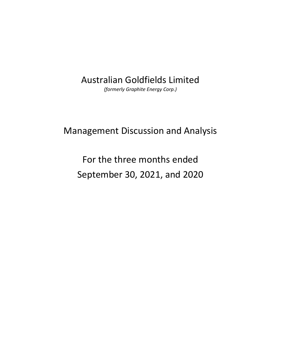# Australian Goldfields Limited

*(formerly Graphite Energy Corp.)* 

# Management Discussion and Analysis

# For the three months ended September 30, 2021, and 2020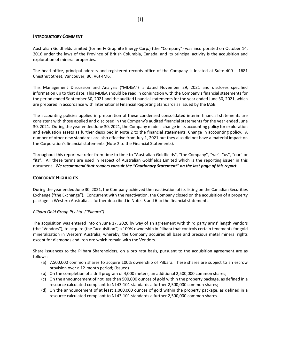#### **INTRODUCTORY COMMENT**

Australian Goldfields Limited (formerly Graphite Energy Corp.) (the "Company") was incorporated on October 14, 2016 under the laws of the Province of British Columbia, Canada, and its principal activity is the acquisition and exploration of mineral properties.

The head office, principal address and registered records office of the Company is located at Suite  $400 - 1681$ Chestnut Street, Vancouver, BC, V6J 4M6.

This Management Discussion and Analysis ("MD&A") is dated November 29, 2021 and discloses specified information up to that date. This MD&A should be read in conjunction with the Company's financial statements for the period ended September 30, 2021 and the audited financial statements for the year ended June 30, 2021, which are prepared in accordance with International Financial Reporting Standards as issued by the IASB.

The accounting policies applied in preparation of these condensed consolidated interim financial statements are consistent with those applied and disclosed in the Company's audited financial statements for the year ended June 30, 2021. During the year ended June 30, 2021, the Company made a change in its accounting policy for exploration and evaluation assets as further described in Note 2 to the financial statements, Change in accounting policy. A number of other new standards are also effective from July 1, 2021 but they also did not have a material impact on the Corporation's financial statements (Note 2 to the Financial Statements).

Throughout this report we refer from time to time to "Australian Goldfields", "the Company", "we", "us", "our" or "its". All these terms are used in respect of Australian Goldfields Limited which is the reporting issuer in this document. *We recommend that readers consult the "Cautionary Statement" on the last page of this report.* 

#### **CORPORATE HIGHLIGHTS**

During the year ended June 30, 2021, the Company achieved the reactivation of its listing on the Canadian Securities Exchange ("the Exchange"). Concurrent with the reactivation, the Company closed on the acquisition of a property package in Western Australia as further described in Notes 5 and 6 to the financial statements.

# *Pilbara Gold Group Pty Ltd. ("Pilbara")*

The acquisition was entered into on June 17, 2020 by way of an agreement with third party arms' length vendors (the "Vendors"), to acquire (the "acquisition") a 100% ownership in Pilbara that controls certain tenements for gold mineralization in Western Australia, whereby, the Company acquired all base and precious metal mineral rights except for diamonds and iron ore which remain with the Vendors.

Share issuances to the Pilbara Shareholders, on a pro rata basis, pursuant to the acquisition agreement are as follows:

- (a) 7,500,000 common shares to acquire 100% ownership of Pilbara. These shares are subject to an escrow provision over a 12‐month period; (issued)
- (b) On the completion of a drill program of 4,000 meters, an additional 2,500,000 common shares;
- (c) On the announcement of not less than 500,000 ounces of gold within the property package, as defined in a resource calculated compliant to NI 43‐101 standards a further 2,500,000 common shares;
- (d) On the announcement of at least 1,000,000 ounces of gold within the property package, as defined in a resource calculated compliant to NI 43‐101 standards a further 2,500,000 common shares.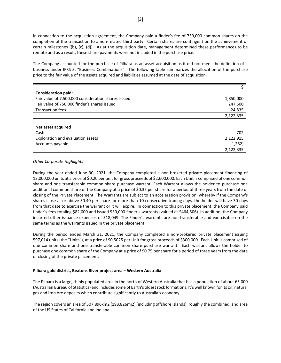In connection to the acquisition agreement, the Company paid a finder's fee of 750,000 common shares on the completion of the transaction to a non-related third party. Certain shares are contingent on the achievement of certain milestones ((b), (c), (d)). As at the acquisition date, management determined these performances to be remote and as a result, these share payments were not included in the purchase price.

The Company accounted for the purchase of Pilbara as an asset acquisition as it did not meet the definition of a business under IFRS 3, "Business Combinations". The following table summarizes the allocation of the purchase price to the fair value of the assets acquired and liabilities assumed at the date of acquisition.

| <b>Consideration paid:</b>                          |           |
|-----------------------------------------------------|-----------|
| Fair value of 7,500,000 consideration shares issued | 1,850,000 |
| Fair value of 750,000 finder's shares issued        | 247,500   |
| <b>Transaction fees</b>                             | 24,835    |
|                                                     | 2,122,335 |
|                                                     |           |
| Net asset acquired                                  |           |
| Cash                                                | 702       |
| Exploration and evaluation assets                   | 2,122,915 |
| Accounts payable                                    | (1, 282)  |
|                                                     | 2,122,335 |

#### *Other Corporate Highlights*

During the year ended June 30, 2021, the Company completed a non-brokered private placement financing of 13,000,000 units at a price of \$0.20 per unit for gross proceeds of \$2,600,000. Each Unit is comprised of one common share and one transferable common share purchase warrant. Each Warrant allows the holder to purchase one additional common share of the Company at a price of \$0.35 per share for a period of three years from the date of closing of the Private Placement. The Warrants are subject to an acceleration provision, whereby if the Company's shares close at or above \$0.40 per share for more than 10 consecutive trading days, the holder will have 30 days from that date to exercise the warrant or it will expire. In connection to this private placement, the Company paid finder's fees totaling \$82,000 and issued 930,000 finder's warrants (valued at \$464,506). In addition, the Company incurred other issuance expenses of \$18,049. The Finder's warrants are non-transferable and exercisable on the same terms as the warrants issued in the private placement.

During the period ended March 31, 2021, the Company completed a non-brokered private placement issuing 597,014 units (the "Units"), at a price of \$0.5025 per Unit for gross proceeds of \$300,000. Each Unit is comprised of one common share and one transferable common share purchase warrant. Each warrant allows the holder to purchase one common share of the Company at a price of \$0.75 per share for a period of three years from the date of closing of the private placement.

#### **Pilbara gold district, Beatons River project area – Western Australia**

The Pilbara is a large, thinly populated area in the north of Western Australia that has a population of about 65,000 (Australian Bureau of Statistics) and includes some of Earth's oldest rock formations. It's well known for its oil, natural gas and iron ore deposits which contribute significantly to Australia's economy.

The region covers an area of 507,896km2 (193,826mi2) (including offshore islands), roughly the combined land area of the US States of California and Indiana.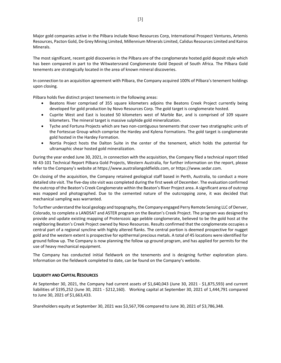Major gold companies active in the Pilbara include Novo Resources Corp, International Prospect Ventures, Artemis Resources, Pacton Gold, De Grey Mining Limited, Millennium Minerals Limited, Calidus Resources Limited and Kairos Minerals.

The most significant, recent gold discoveries in the Pilbara are of the conglomerate hosted gold deposit style which has been compared in part to the Witwatersrand Conglomerate Gold Deposit of South Africa. The Pilbara Gold tenements are strategically located in the area of known mineral discoveries.

In connection to an acquisition agreement with Pilbara, the Company acquired 100% of Pilbara's tenement holdings upon closing.

Pilbara holds five distinct project tenements in the following areas:

- Beatons River comprised of 355 square kilometers adjoins the Beatons Creek Project currently being developed for gold production by Novo Resources Corp. The gold target is conglomerate hosted.
- Cuprite West and East is located 50 kilometers west of Marble Bar, and is comprised of 109 square kilometers. The mineral target is massive sulphide gold mineralization.
- Tyche and Fortuna Projects which are two non-contiguous tenements that cover two stratigraphic units of the Fortescue Group which comprise the Hardey and Kylena Formations. The gold target is conglomerate gold hosted in the Hardey Formation.
- Nortia Project hosts the Dalton Suite in the center of the tenement, which holds the potential for ultramaphic shear hosted gold mineralization.

During the year ended June 30, 2021, in connection with the acquisition, the Company filed a technical report titled NI 43‐101 Technical Report Pilbara Gold Projects, Western Australia, for further information on the report, please refer to the Company's website at https://www.australiangoldfields.com, or https://www.sedar.com.

On closing of the acquisition, the Company retained geological staff based in Perth, Australia, to conduct a more detailed site visit. The five-day site visit was completed during the first week of December. The evaluation confirmed the outcrop of the Beaton's Creek Conglomerate within the Beaton's River Project area. A significant area of outcrop was mapped and photographed. Due to the cemented nature of the outcropping zone, it was decided that mechanical sampling was warranted.

To further understand the local geology and topography, the Company engaged Perry Remote Sensing LLC of Denver, Colorado, to complete a LANDSAT and ASTER program on the Beaton's Creek Project. The program was designed to provide and update existing mapping of Proterozoic age pebble conglomerate, believed to be the gold host at the neighboring Beaton's Creek Project owned by Novo Resources. Results confirmed that the conglomerate occupies a central part of a regional syncline with highly altered flanks. The central portion is deemed prospective for nugget gold and the western extent is prospective for epithermal precious metals. A total of 45 locations were identified for ground follow up. The Company is now planning the follow up ground program, and has applied for permits for the use of heavy mechanical equipment.

The Company has conducted initial fieldwork on the tenements and is designing further exploration plans. Information on the fieldwork completed to date, can be found on the Company's website.

# **LIQUIDITY AND CAPITAL RESOURCES**

At September 30, 2021, the Company had current assets of \$1,640,043 (June 30, 2021 ‐ \$1,875,593) and current liabilities of \$195,252 (June 30, 2021 ‐ \$212,160). Working capital at September 30, 2021 of 1,444,791 compared to June 30, 2021 of \$1,663,433.

Shareholders equity at September 30, 2021 was \$3,567,706 compared to June 30, 2021 of \$3,786,348.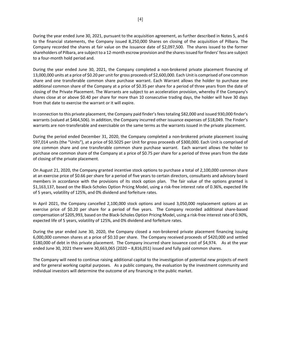During the year ended June 30, 2021, pursuant to the acquisition agreement, as further described in Notes 5, and 6 to the financial statements, the Company issued 8,250,000 Shares on closing of the acquisition of Pilbara. The Company recorded the shares at fair value on the issuance date of \$2,097,500. The shares issued to the former shareholders of Pilbara, are subject to a 12‐month escrow provision and the shares issued for finders' fess are subject to a four‐month hold period and.

During the year ended June 30, 2021, the Company completed a non-brokered private placement financing of 13,000,000 units at a price of \$0.20 per unit for gross proceeds of \$2,600,000. Each Unit is comprised of one common share and one transferable common share purchase warrant. Each Warrant allows the holder to purchase one additional common share of the Company at a price of \$0.35 per share for a period of three years from the date of closing of the Private Placement. The Warrants are subject to an acceleration provision, whereby if the Company's shares close at or above \$0.40 per share for more than 10 consecutive trading days, the holder will have 30 days from that date to exercise the warrant or it will expire.

In connection to this private placement, the Company paid finder's fees totaling \$82,000 and issued 930,000 finder's warrants (valued at \$464,506). In addition, the Company incurred other issuance expenses of \$18,049. The Finder's warrants are non-transferable and exercisable on the same terms as the warrants issued in the private placement.

During the period ended December 31, 2020, the Company completed a non‐brokered private placement issuing 597,014 units (the "Units"), at a price of \$0.5025 per Unit for gross proceeds of \$300,000. Each Unit is comprised of one common share and one transferable common share purchase warrant. Each warrant allows the holder to purchase one common share of the Company at a price of \$0.75 per share for a period of three years from the date of closing of the private placement.

On August 21, 2020, the Company granted incentive stock options to purchase a total of 2,100,000 common share at an exercise price of \$0.66 per share for a period of five years to certain directors, consultants and advisory board members in accordance with the provisions of its stock option plan. The fair value of the options granted is \$1,163,137, based on the Black‐Scholes Option Pricing Model, using a risk‐free interest rate of 0.36%, expected life of 5 years, volatility of 125%, and 0% dividend and forfeiture rates.

In April 2021, the Company cancelled 2,100,000 stock options and issued 3,050,000 replacement options at an exercise price of \$0.20 per share for a period of five years. The Company recorded additional share-based compensation of \$205,993, based on the Black-Scholes Option Pricing Model, using a risk-free interest rate of 0.90%, expected life of 5 years, volatility of 125%, and 0% dividend and forfeiture rates.

During the year ended June 30, 2020, the Company closed a non-brokered private placement financing issuing 6,000,000 common shares at a price of \$0.10 per share. The Company received proceeds of \$420,000 and settled \$180,000 of debt in this private placement. The Company incurred share issuance cost of \$4,974. As at the year ended June 30, 2021 there were 30,663,065 (2020 – 8,816,051) issued and fully paid common shares.

The Company will need to continue raising additional capital to the investigation of potential new projects of merit and for general working capital purposes. As a public company, the evaluation by the investment community and individual investors will determine the outcome of any financing in the public market.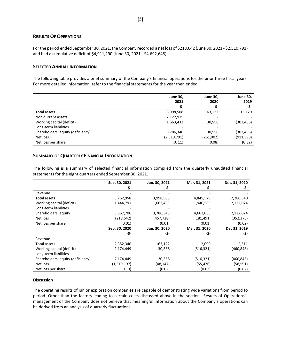# **RESULTS OF OPERATIONS**

For the period ended September 30, 2021, the Company recorded a net loss of \$218,642 (June 30, 2021 ‐ \$2,510,791) and had a cumulative deficit of \$4,911,290 (June 30, 2021 ‐ \$4,692,648).

#### **SELECTED ANNUAL INFORMATION**

The following table provides a brief summary of the Company's financial operations for the prior three fiscal years. For more detailed information, refer to the financial statements for the year then ended.

|                                   | <b>June 30,</b> | <b>June 30,</b> | <b>June 30,</b> |
|-----------------------------------|-----------------|-----------------|-----------------|
|                                   | 2021            | 2020            | 2019            |
|                                   | -\$-            | -\$-            | -\$-            |
| Total assets                      | 3,998,508       | 163,122         | 15,129          |
| Non-current assets                | 2,122,915       | -               |                 |
| Working capital (deficit)         | 1,663,433       | 30,558          | (303, 466)      |
| Long-term liabilities             |                 |                 |                 |
| Shareholders' equity (deficiency) | 3,786,348       | 30,558          | (303, 466)      |
| Net loss                          | (2,510,791)     | (261,002)       | (911, 398)      |
| Net loss per share                | (0.11)          | (0.08)          | (0.32)          |

#### **SUMMARY OF QUARTERLY FINANCIAL INFORMATION**

The following is a summary of selected financial information compiled from the quarterly unaudited financial statements for the eight quarters ended September 30, 2021.

|                                   | Sep. 30, 2021 | Jun. 30, 2021 | Mar. 31, 2021 | Dec. 31, 2020 |
|-----------------------------------|---------------|---------------|---------------|---------------|
|                                   | -\$-          | -\$-          | -\$-          | -\$-          |
| Revenue                           |               |               |               |               |
| Total assets                      | 3,762,958     | 3,998,508     | 4,845,579     | 2,280,340     |
| Working capital (deficit)         | 1,444,791     | 1,663,433     | 1,940,583     | 2,122,074     |
| Long-term liabilities             |               |               |               |               |
| Shareholders' equity              | 3,567,706     | 3,786,348     | 4,663,083     | 2,122,074     |
| Net loss                          | (218, 642)    | (457, 728)    | (181, 491)    | (352, 375)    |
| Net loss per share                | (0.01)        | (0.01)        | (0.01)        | (0.02)        |
|                                   | Sep. 30, 2020 | Jun. 30, 2020 | Mar. 31, 2020 | Dec 31, 2019  |
|                                   | -\$-          | -\$-          | -\$-          | -\$-          |
| Revenue                           |               |               |               |               |
| Total assets                      | 2,352,340     | 163,122       | 2,099         | 2,511         |
| Working capital (deficit)         | 2,174,449     | 30,558        | (516, 321)    | (460,845)     |
| Long-term liabilities             |               |               |               |               |
| Shareholders' equity (deficiency) | 2,174,449     | 30,558        | (516, 321)    | (460, 845)    |
| Net loss                          | (1,519,197)   | (48, 147)     | (55,476)      | (58, 591)     |
| Net loss per share                | (0.10)        | (0.02)        | (0.02)        | (0.02)        |

#### **Discussion**

The operating results of junior exploration companies are capable of demonstrating wide variations from period to period. Other than the factors leading to certain costs discussed above in the section "Results of Operations", management of the Company does not believe that meaningful information about the Company's operations can be derived from an analysis of quarterly fluctuations.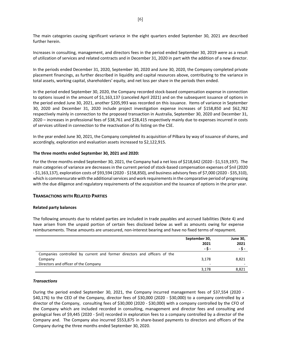The main categories causing significant variance in the eight quarters ended September 30, 2021 are described further herein.

Increases in consulting, management, and directors fees in the period ended September 30, 2019 were as a result of utilization of services and related contracts and in December 31, 2020 in part with the addition of a new director.

In the periods ended December 31, 2020, September 30, 2020 and June 30, 2020, the Company completed private placement financings, as further described in liquidity and capital resources above, contributing to the variance in total assets, working capital, shareholders' equity, and net loss per share in the periods then ended.

In the period ended September 30, 2020, the Company recorded stock‐based compensation expense in connection to options issued in the amount of \$1,163,137 (canceled April 2021) and on the subsequent issuance of options in the period ended June 30, 2021, another \$205,993 was recorded on this issuance. Items of variance in September 30, 2020 and December 31, 2020 include project investigation expense increases of \$158,850 and \$62,782 respectively mainly in connection to the proposed transaction in Australia, September 30, 2020 and December 31, 2020 – increases in professional fees of \$38,761 and \$28,415 respectively mainly due to expenses incurred in costs of services utilized in connection to the reactivation of its listing on the CSE.

In the year ended June 30, 2021, the Company completed its acquisition of Pilbara by way of issuance of shares, and accordingly, exploration and evaluation assets increased to \$2,122,915.

#### **The three months ended September 30, 2021 and 2020:**

For the three months ended September 30, 2021, the Company had a net loss of \$218,642 (2020 ‐ \$1,519,197). The main categories of variance are decreases in the current period of stock‐based compensation expenses of \$nil (2020 ‐ \$1,163,137), exploration costs of \$93,594 (2020 ‐ \$158,850), and business advisory fees of \$7,000 (2020 ‐ \$35,310), which is commensurate with the additional services and work requirements in the comparative period of progressing with the due diligence and regulatory requirements of the acquisition and the issuance of options in the prior year.

#### **TRANSACTIONS WITH RELATED PARTIES**

#### **Related party balances**

The following amounts due to related parties are included in trade payables and accrued liabilities (Note 4) and have arisen from the unpaid portion of certain fees disclosed below as well as amounts owing for expense reimbursements. These amounts are unsecured, non-interest bearing and have no fixed terms of repayment.

|                                                                          | September 30,<br>2021<br>- S - | <b>June 30,</b><br>2021<br>- S - |
|--------------------------------------------------------------------------|--------------------------------|----------------------------------|
| Companies controlled by current and former directors and officers of the |                                |                                  |
| Company                                                                  | 3,178                          | 8,821                            |
| Directors and officer of the Company                                     | -                              |                                  |
|                                                                          | 3.178                          | 8,821                            |

#### *Transactions*

During the period ended September 30, 2021, the Company incurred management fees of \$37,554 (2020 -\$40,176) to the CEO of the Company, director fees of \$30,000 (2020 ‐ \$30,000) to a company controlled by a director of the Company, consulting fees of \$30,000 (2020 ‐ \$30,000) with a company controlled by the CFO of the Company which are included recorded in consulting, management and director fees and consulting and geological fees of \$9,445 (2020 ‐ \$nil) recorded in exploration fees to a company controlled by a director of the Company and. The Company also incurred \$553,875 in share‐based payments to directors and officers of the Company during the three months ended September 30, 2020.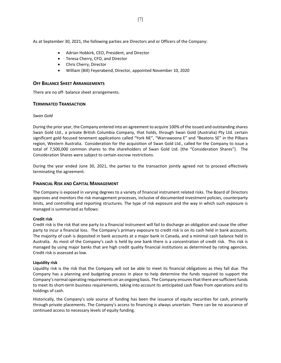As at September 30, 2021, the following parties are Directors and or Officers of the Company:

- Adrian Hobkirk, CEO, President, and Director
- **•** Teresa Cherry, CFO, and Director
- Chris Cherry, Director
- William (Bill) Feyerabend, Director, appointed November 10, 2020

### **OFF BALANCE SHEET ARRANGEMENTS**

There are no off‐ balance sheet arrangements.

#### **TERMINATED TRANSACTION**

#### *Swan Gold*

During the prior year, the Company entered into an agreement to acquire 100% of the issued and outstanding shares Swan Gold Ltd., a private British Columbia Company, that holds, through Swan Gold (Australia) Pty Ltd. certain significant gold focused tenement applications called "York NE", "Warrawoona E" and "Beatons SE" in the Pilbara region, Western Australia. Consideration for the acquisition of Swan Gold Ltd., called for the Company to issue a total of 7,500,000 common shares to the shareholders of Swan Gold Ltd. (the "Consideration Shares"). The Consideration Shares were subject to certain escrow restrictions.

During the year ended June 30, 2021, the parties to the transaction jointly agreed not to proceed effectively terminating the agreement.

### **FINANCIAL RISK AND CAPITAL MANAGEMENT**

The Company is exposed in varying degrees to a variety of financial instrument related risks. The Board of Directors approves and monitors the risk management processes, inclusive of documented investment policies, counterparty limits, and controlling and reporting structures. The type of risk exposure and the way in which such exposure is managed is summarized as follows:

#### **Credit risk**

Credit risk is the risk that one party to a financial instrument will fail to discharge an obligation and cause the other party to incur a financial loss. The Company's primary exposure to credit risk is on its cash held in bank accounts. The majority of cash is deposited in bank accounts at a major bank in Canada, and a minimal cash balance held in Australia. As most of the Company's cash is held by one bank there is a concentration of credit risk. This risk is managed by using major banks that are high credit quality financial institutions as determined by rating agencies. Credit risk is assessed as low.

#### **Liquidity risk**

Liquidity risk is the risk that the Company will not be able to meet its financial obligations as they fall due. The Company has a planning and budgeting process in place to help determine the funds required to support the Company's normal operating requirements on an ongoing basis. The Company ensures that there are sufficient funds to meet its short-term business requirements, taking into account its anticipated cash flows from operations and its holdings of cash.

Historically, the Company's sole source of funding has been the issuance of equity securities for cash, primarily through private placements. The Company's access to financing is always uncertain. There can be no assurance of continued access to necessary levels of equity funding.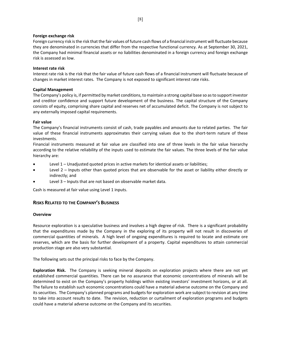#### **Foreign exchange risk**

Foreign currency risk is the risk that the fair values of future cash flows of a financial instrument will fluctuate because they are denominated in currencies that differ from the respective functional currency. As at September 30, 2021, the Company had minimal financial assets or no liabilities denominated in a foreign currency and foreign exchange risk is assessed as low.

#### **Interest rate risk**

Interest rate risk is the risk that the fair value of future cash flows of a financial instrument will fluctuate because of changes in market interest rates. The Company is not exposed to significant interest rate risks.

#### **Capital Management**

The Company's policy is, if permitted by market conditions, to maintain a strong capital base so as to support investor and creditor confidence and support future development of the business. The capital structure of the Company consists of equity, comprising share capital and reserves net of accumulated deficit. The Company is not subject to any externally imposed capital requirements.

#### **Fair value**

The Company's financial instruments consist of cash, trade payables and amounts due to related parties. The fair value of these financial instruments approximates their carrying values due to the short-term nature of these investments.

Financial instruments measured at fair value are classified into one of three levels in the fair value hierarchy according to the relative reliability of the inputs used to estimate the fair values. The three levels of the fair value hierarchy are:

- Level 1 Unadjusted quoted prices in active markets for identical assets or liabilities;
- Level 2 Inputs other than quoted prices that are observable for the asset or liability either directly or indirectly; and
- Level 3 Inputs that are not based on observable market data.

Cash is measured at fair value using Level 1 inputs.

# **RISKS RELATED TO THE COMPANY'S BUSINESS**

#### **Overview**

Resource exploration is a speculative business and involves a high degree of risk. There is a significant probability that the expenditures made by the Company in the exploring of its property will not result in discoveries of commercial quantities of minerals. A high level of ongoing expenditures is required to locate and estimate ore reserves, which are the basis for further development of a property. Capital expenditures to attain commercial production stage are also very substantial.

The following sets out the principal risks to face by the Company.

**Exploration Risk.** The Company is seeking mineral deposits on exploration projects where there are not yet established commercial quantities. There can be no assurance that economic concentrations of minerals will be determined to exist on the Company's property holdings within existing investors' investment horizons, or at all. The failure to establish such economic concentrations could have a material adverse outcome on the Company and its securities. The Company's planned programs and budgets for exploration work are subject to revision at any time to take into account results to date. The revision, reduction or curtailment of exploration programs and budgets could have a material adverse outcome on the Company and its securities.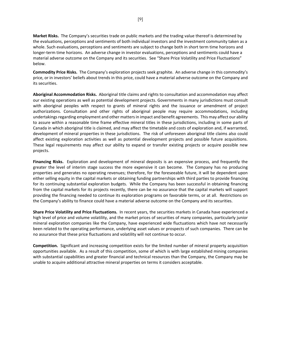**Market Risks.** The Company's securities trade on public markets and the trading value thereof is determined by the evaluations, perceptions and sentiments of both individual investors and the investment community taken as a whole. Such evaluations, perceptions and sentiments are subject to change both in short term time horizons and longer‐term time horizons. An adverse change in investor evaluations, perceptions and sentiments could have a material adverse outcome on the Company and its securities. See "Share Price Volatility and Price Fluctuations" below.

**Commodity Price Risks.** The Company's exploration projects seek graphite. An adverse change in this commodity's price, or in investors' beliefs about trends in this price, could have a material adverse outcome on the Company and its securities.

**Aboriginal Accommodation Risks.** Aboriginal title claims and rights to consultation and accommodation may affect our existing operations as well as potential development projects. Governments in many jurisdictions must consult with aboriginal peoples with respect to grants of mineral rights and the issuance or amendment of project authorizations. Consultation and other rights of aboriginal people may require accommodations, including undertakings regarding employment and other matters in impact and benefit agreements. This may affect our ability to assure within a reasonable time frame effective mineral titles in these jurisdictions, including in some parts of Canada in which aboriginal title is claimed, and may affect the timetable and costs of exploration and, if warranted, development of mineral properties in these jurisdictions. The risk of unforeseen aboriginal title claims also could affect existing exploration activities as well as potential development projects and possible future acquisitions. These legal requirements may affect our ability to expand or transfer existing projects or acquire possible new projects.

**Financing Risks.** Exploration and development of mineral deposits is an expensive process, and frequently the greater the level of interim stage success the more expensive it can become. The Company has no producing properties and generates no operating revenues; therefore, for the foreseeable future, it will be dependent upon either selling equity in the capital markets or obtaining funding partnerships with third parties to provide financing for its continuing substantial exploration budgets. While the Company has been successful in obtaining financing from the capital markets for its projects recently, there can be no assurance that the capital markets will support providing the financing needed to continue its exploration programs on favorable terms, or at all. Restrictions on the Company's ability to finance could have a material adverse outcome on the Company and its securities.

**Share Price Volatility and Price Fluctuations.** In recent years, the securities markets in Canada have experienced a high level of price and volume volatility, and the market prices of securities of many companies, particularly junior mineral exploration companies like the Company, have experienced wide fluctuations which have not necessarily been related to the operating performance, underlying asset values or prospects of such companies. There can be no assurance that these price fluctuations and volatility will not continue to occur.

**Competition.** Significant and increasing competition exists for the limited number of mineral property acquisition opportunities available. As a result of this competition, some of which is with large established mining companies with substantial capabilities and greater financial and technical resources than the Company, the Company may be unable to acquire additional attractive mineral properties on terms it considers acceptable.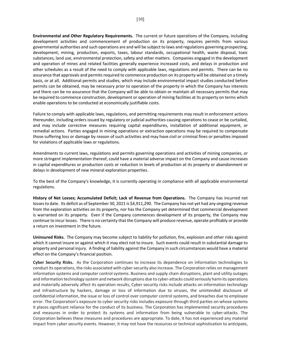**Environmental and Other Regulatory Requirements.** The current or future operations of the Company, including development activities and commencement of production on its property, requires permits from various governmental authorities and such operations are and will be subject to laws and regulations governing prospecting, development, mining, production, exports, taxes, labour standards, occupational health, waste disposal, toxic substances, land use, environmental protection, safety and other matters. Companies engaged in the development and operation of mines and related facilities generally experience increased costs, and delays in production and other schedules as a result of the need to comply with applicable laws, regulations and permits. There can be no assurance that approvals and permits required to commence production on its property will be obtained on a timely basis, or at all. Additional permits and studies, which may include environmental impact studies conducted before permits can be obtained, may be necessary prior to operation of the property in which the Company has interests and there can be no assurance that the Company will be able to obtain or maintain all necessary permits that may be required to commence construction, development or operation of mining facilities at its property on terms which enable operations to be conducted at economically justifiable costs.

Failure to comply with applicable laws, regulations, and permitting requirements may result in enforcement actions thereunder, including orders issued by regulatory or judicial authorities causing operations to cease or be curtailed, and may include corrective measures requiring capital expenditures, installation of additional equipment, or remedial actions. Parties engaged in mining operations or extraction operations may be required to compensate those suffering loss or damage by reason of such activities and may have civil or criminal fines or penalties imposed for violations of applicable laws or regulations.

Amendments to current laws, regulations and permits governing operations and activities of mining companies, or more stringent implementation thereof, could have a material adverse impact on the Company and cause increases in capital expenditures or production costs or reduction in levels of production at its property or abandonment or delays in development of new mineral exploration properties.

To the best of the Company's knowledge, it is currently operating in compliance with all applicable environmental regulations.

**History of Net Losses; Accumulated Deficit; Lack of Revenue from Operations.** The Company has incurred net losses to date. Its deficit as of September 30, 2021 is \$4,911,290. The Company has not yet had any ongoing revenue from the exploration activities on its property, nor has the Company yet determined that commercial development is warranted on its property. Even if the Company commences development of its property, the Company may continue to incur losses. There is no certainty that the Company will produce revenue, operate profitably or provide a return on investment in the future.

**Uninsured Risks.** The Company may become subject to liability for pollution, fire, explosion and other risks against which it cannot insure or against which it may elect not to insure. Such events could result in substantial damage to property and personal injury. A finding of liability against the Company in such circumstances would have a material effect on the Company's financial position.

**Cyber Security Risks.** As the Corporation continues to increase its dependence on information technologies to conduct its operations, the risks associated with cyber security also increase. The Corporation relies on management information systems and computer control systems. Business and supply chain disruptions, plant and utility outages and information technology system and network disruptions due to cyber-attacks could seriously harm its operations and materially adversely affect its operation results, Cyber security risks include attacks on information technology and infrastructure by hackers, damage or loss of information due to viruses, the unintended disclosure of confidential information, the issue or loss of control over computer control systems, and breaches due to employee error. The Corporation's exposure to cyber security risks includes exposure through third parties on whose systems it places significant reliance for the conduct of its business. The Corporation has implemented security procedures and measures in order to protect its systems and information from being vulnerable to cyber-attacks. The Corporation believes these measures and procedures are appropriate. To date, it has not experienced any material impact from cyber security events. However, it may not have the resources or technical sophistication to anticipate,